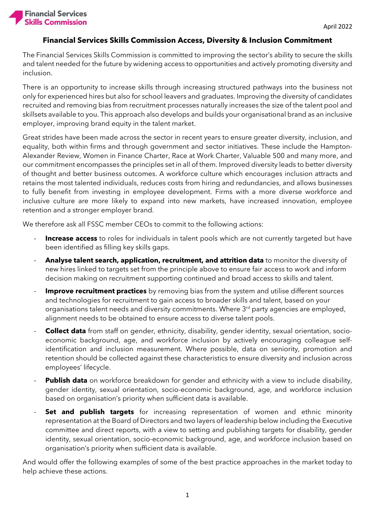

## **Financial Services Skills Commission Access, Diversity & Inclusion Commitment**

The Financial Services Skills Commission is committed to improving the sector's ability to secure the skills and talent needed for the future by widening access to opportunities and actively promoting diversity and inclusion.

There is an opportunity to increase skills through increasing structured pathways into the business not only for experienced hires but also for school leavers and graduates. Improving the diversity of candidates recruited and removing bias from recruitment processes naturally increases the size of the talent pool and skillsets available to you. This approach also develops and builds your organisational brand as an inclusive employer, improving brand equity in the talent market.

Great strides have been made across the sector in recent years to ensure greater diversity, inclusion, and equality, both within firms and through government and sector initiatives. These include the Hampton-Alexander Review, Women in Finance Charter, Race at Work Charter, Valuable 500 and many more, and our commitment encompasses the principles set in all of them. Improved diversity leads to better diversity of thought and better business outcomes. A workforce culture which encourages inclusion attracts and retains the most talented individuals, reduces costs from hiring and redundancies, and allows businesses to fully benefit from investing in employee development. Firms with a more diverse workforce and inclusive culture are more likely to expand into new markets, have increased innovation, employee retention and a stronger employer brand.

We therefore ask all FSSC member CEOs to commit to the following actions:

- **Increase access** to roles for individuals in talent pools which are not currently targeted but have been identified as filling key skills gaps.
- **Analyse talent search, application, recruitment, and attrition data** to monitor the diversity of new hires linked to targets set from the principle above to ensure fair access to work and inform decision making on recruitment supporting continued and broad access to skills and talent.
- **Improve recruitment practices** by removing bias from the system and utilise different sources and technologies for recruitment to gain access to broader skills and talent, based on your organisations talent needs and diversity commitments. Where 3<sup>rd</sup> party agencies are employed, alignment needs to be obtained to ensure access to diverse talent pools.
- **Collect data** from staff on gender, ethnicity, disability, gender identity, sexual orientation, socioeconomic background, age, and workforce inclusion by actively encouraging colleague selfidentification and inclusion measurement. Where possible, data on seniority, promotion and retention should be collected against these characteristics to ensure diversity and inclusion across employees' lifecycle.
- **Publish data** on workforce breakdown for gender and ethnicity with a view to include disability, gender identity, sexual orientation, socio-economic background, age, and workforce inclusion based on organisation's priority when sufficient data is available.
- **Set and publish targets** for increasing representation of women and ethnic minority representation at the Board of Directors and two layers of leadership below including the Executive committee and direct reports, with a view to setting and publishing targets for disability, gender identity, sexual orientation, socio-economic background, age, and workforce inclusion based on organisation's priority when sufficient data is available.

And would offer the following examples of some of the best practice approaches in the market today to help achieve these actions.